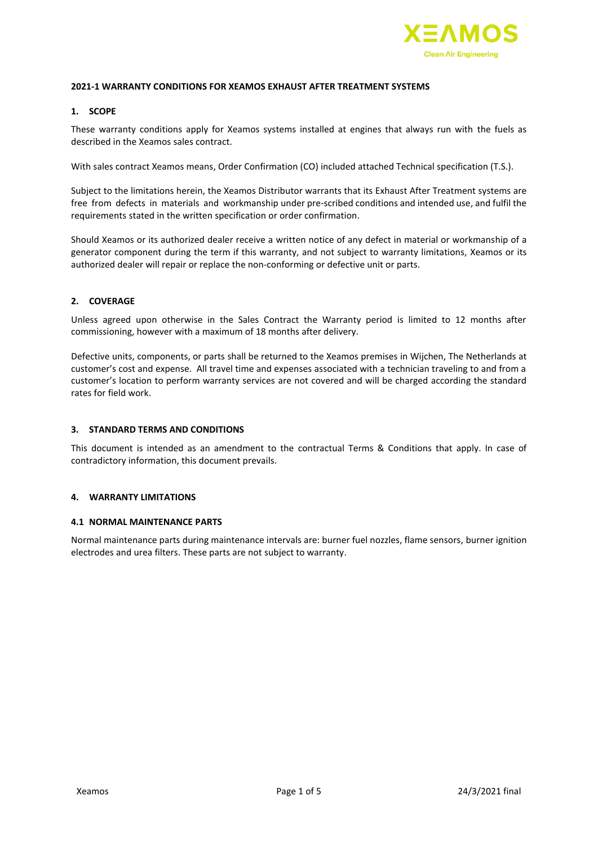

### **2021-1 WARRANTY CONDITIONS FOR XEAMOS EXHAUST AFTER TREATMENT SYSTEMS**

### **1. SCOPE**

These warranty conditions apply for Xeamos systems installed at engines that always run with the fuels as described in the Xeamos sales contract.

With sales contract Xeamos means, Order Confirmation (CO) included attached Technical specification (T.S.).

Subject to the limitations herein, the Xeamos Distributor warrants that its Exhaust After Treatment systems are free from defects in materials and workmanship under pre-scribed conditions and intended use, and fulfil the requirements stated in the written specification or order confirmation.

Should Xeamos or its authorized dealer receive a written notice of any defect in material or workmanship of a generator component during the term if this warranty, and not subject to warranty limitations, Xeamos or its authorized dealer will repair or replace the non-conforming or defective unit or parts.

### **2. COVERAGE**

Unless agreed upon otherwise in the Sales Contract the Warranty period is limited to 12 months after commissioning, however with a maximum of 18 months after delivery.

Defective units, components, or parts shall be returned to the Xeamos premises in Wijchen, The Netherlands at customer's cost and expense. All travel time and expenses associated with a technician traveling to and from a customer's location to perform warranty services are not covered and will be charged according the standard rates for field work.

## **3. STANDARD TERMS AND CONDITIONS**

This document is intended as an amendment to the contractual Terms & Conditions that apply. In case of contradictory information, this document prevails.

## **4. WARRANTY LIMITATIONS**

#### **4.1 NORMAL MAINTENANCE PARTS**

Normal maintenance parts during maintenance intervals are: burner fuel nozzles, flame sensors, burner ignition electrodes and urea filters. These parts are not subject to warranty.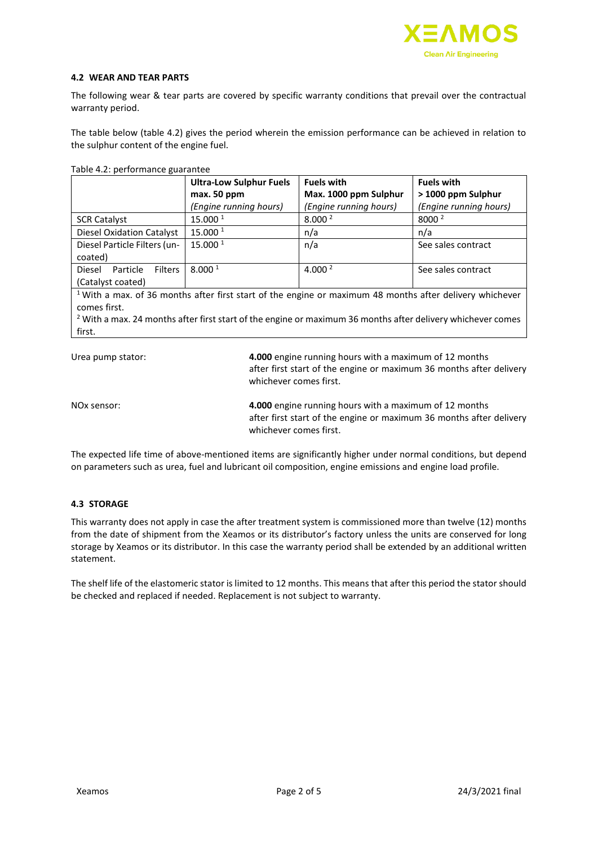

### **4.2 WEAR AND TEAR PARTS**

The following wear & tear parts are covered by specific warranty conditions that prevail over the contractual warranty period.

The table below (table 4.2) gives the period wherein the emission performance can be achieved in relation to the sulphur content of the engine fuel.

| Table 4.2: performance guarantee |  |
|----------------------------------|--|
|                                  |  |

| Table - performance guarantee                                                                             |                                |                        |                        |  |  |
|-----------------------------------------------------------------------------------------------------------|--------------------------------|------------------------|------------------------|--|--|
|                                                                                                           | <b>Ultra-Low Sulphur Fuels</b> | <b>Fuels with</b>      | <b>Fuels with</b>      |  |  |
|                                                                                                           | max. 50 ppm                    | Max. 1000 ppm Sulphur  | > 1000 ppm Sulphur     |  |  |
|                                                                                                           | (Engine running hours)         | (Engine running hours) | (Engine running hours) |  |  |
| <b>SCR Catalyst</b>                                                                                       | 15.000 1                       | 8.000 <sup>2</sup>     | 8000 <sup>2</sup>      |  |  |
| <b>Diesel Oxidation Catalyst</b>                                                                          | 15.000 1                       | n/a                    | n/a                    |  |  |
| Diesel Particle Filters (un-                                                                              | 15.000 1                       | n/a                    | See sales contract     |  |  |
| coated)                                                                                                   |                                |                        |                        |  |  |
| Diesel<br><b>Filters</b><br>Particle                                                                      | 8.000 <sup>1</sup>             | 4.000 $^2$             | See sales contract     |  |  |
| (Catalyst coated)                                                                                         |                                |                        |                        |  |  |
| $1$ With a may of 36 months after first start of the engine or maximum 48 months after delivery whichever |                                |                        |                        |  |  |

<sup>1</sup>With a max. of 36 months after first start of the engine or maximum 48 months after delivery whichever comes first.

 $2$  With a max. 24 months after first start of the engine or maximum 36 months after delivery whichever comes first.

Urea pump stator: **4.000** engine running hours with a maximum of 12 months after first start of the engine or maximum 36 months after delivery whichever comes first.

| NOx sensor: | 4.000 engine running hours with a maximum of 12 months              |
|-------------|---------------------------------------------------------------------|
|             | after first start of the engine or maximum 36 months after delivery |
|             | whichever comes first.                                              |

The expected life time of above-mentioned items are significantly higher under normal conditions, but depend on parameters such as urea, fuel and lubricant oil composition, engine emissions and engine load profile.

## **4.3 STORAGE**

This warranty does not apply in case the after treatment system is commissioned more than twelve (12) months from the date of shipment from the Xeamos or its distributor's factory unless the units are conserved for long storage by Xeamos or its distributor. In this case the warranty period shall be extended by an additional written statement.

The shelf life of the elastomeric stator is limited to 12 months. This means that after this period the stator should be checked and replaced if needed. Replacement is not subject to warranty.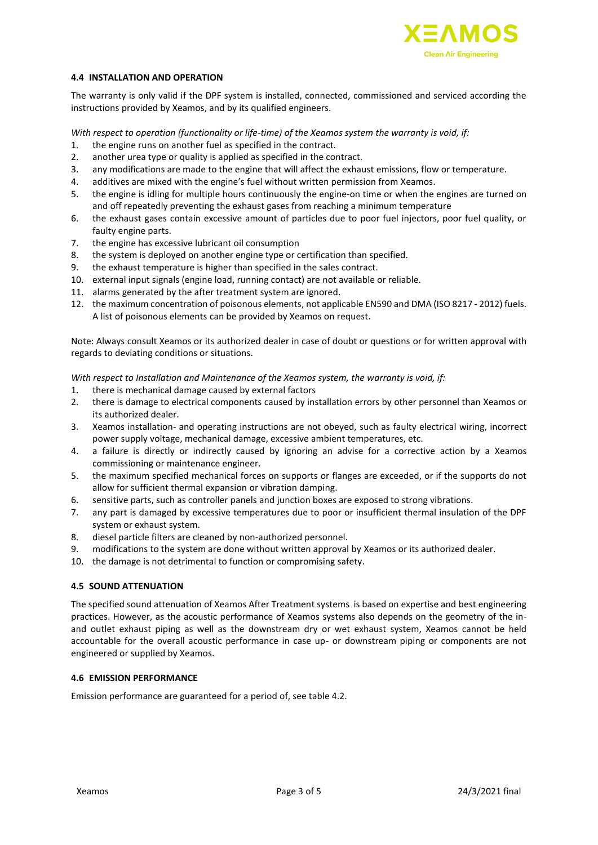

### **4.4 INSTALLATION AND OPERATION**

The warranty is only valid if the DPF system is installed, connected, commissioned and serviced according the instructions provided by Xeamos, and by its qualified engineers.

*With respect to operation (functionality or life-time) of the Xeamos system the warranty is void, if:*

- 1. the engine runs on another fuel as specified in the contract.
- 2. another urea type or quality is applied as specified in the contract.
- 3. any modifications are made to the engine that will affect the exhaust emissions, flow or temperature.
- 4. additives are mixed with the engine's fuel without written permission from Xeamos.
- 5. the engine is idling for multiple hours continuously the engine-on time or when the engines are turned on and off repeatedly preventing the exhaust gases from reaching a minimum temperature
- 6. the exhaust gases contain excessive amount of particles due to poor fuel injectors, poor fuel quality, or faulty engine parts.
- 7. the engine has excessive lubricant oil consumption
- 8. the system is deployed on another engine type or certification than specified.
- 9. the exhaust temperature is higher than specified in the sales contract.
- 10. external input signals (engine load, running contact) are not available or reliable.
- 11. alarms generated by the after treatment system are ignored.
- 12. the maximum concentration of poisonous elements, not applicable EN590 and DMA (ISO 8217 2012) fuels. A list of poisonous elements can be provided by Xeamos on request.

Note: Always consult Xeamos or its authorized dealer in case of doubt or questions or for written approval with regards to deviating conditions or situations.

*With respect to Installation and Maintenance of the Xeamos system, the warranty is void, if:*

- 1. there is mechanical damage caused by external factors
- 2. there is damage to electrical components caused by installation errors by other personnel than Xeamos or its authorized dealer.
- 3. Xeamos installation- and operating instructions are not obeyed, such as faulty electrical wiring, incorrect power supply voltage, mechanical damage, excessive ambient temperatures, etc.
- 4. a failure is directly or indirectly caused by ignoring an advise for a corrective action by a Xeamos commissioning or maintenance engineer.
- 5. the maximum specified mechanical forces on supports or flanges are exceeded, or if the supports do not allow for sufficient thermal expansion or vibration damping.
- 6. sensitive parts, such as controller panels and junction boxes are exposed to strong vibrations.
- 7. any part is damaged by excessive temperatures due to poor or insufficient thermal insulation of the DPF system or exhaust system.
- 8. diesel particle filters are cleaned by non-authorized personnel.
- 9. modifications to the system are done without written approval by Xeamos or its authorized dealer.
- 10. the damage is not detrimental to function or compromising safety.

## **4.5 SOUND ATTENUATION**

The specified sound attenuation of Xeamos After Treatment systems is based on expertise and best engineering practices. However, as the acoustic performance of Xeamos systems also depends on the geometry of the inand outlet exhaust piping as well as the downstream dry or wet exhaust system, Xeamos cannot be held accountable for the overall acoustic performance in case up- or downstream piping or components are not engineered or supplied by Xeamos.

# **4.6 EMISSION PERFORMANCE**

Emission performance are guaranteed for a period of, see table 4.2.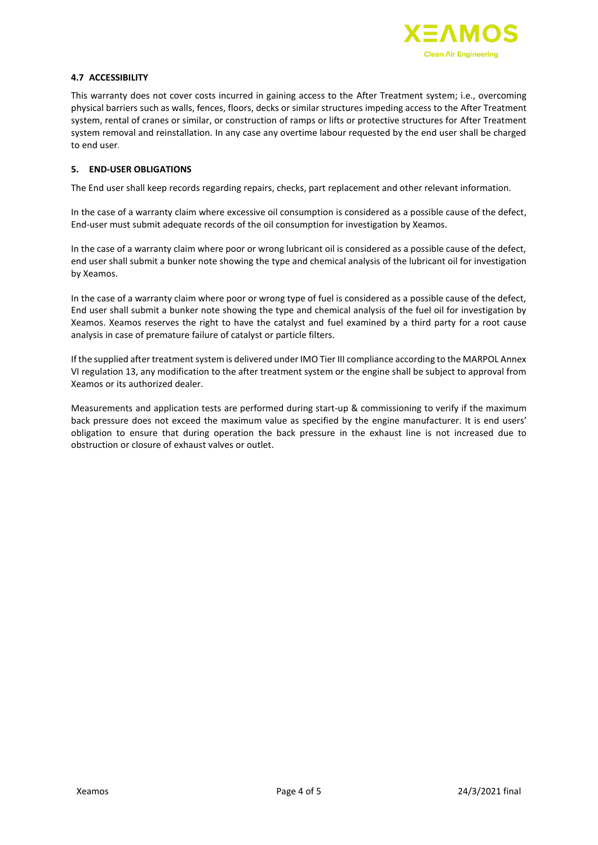

# **4.7 ACCESSIBILITY**

This warranty does not cover costs incurred in gaining access to the After Treatment system; i.e., overcoming physical barriers such as walls, fences, floors, decks or similar structures impeding access to the After Treatment system, rental of cranes or similar, or construction of ramps or lifts or protective structures for After Treatment system removal and reinstallation. In any case any overtime labour requested by the end user shall be charged to end user.

### **5. END-USER OBLIGATIONS**

The End user shall keep records regarding repairs, checks, part replacement and other relevant information.

In the case of a warranty claim where excessive oil consumption is considered as a possible cause of the defect, End-user must submit adequate records of the oil consumption for investigation by Xeamos.

In the case of a warranty claim where poor or wrong lubricant oil is considered as a possible cause of the defect, end user shall submit a bunker note showing the type and chemical analysis of the lubricant oil for investigation by Xeamos.

In the case of a warranty claim where poor or wrong type of fuel is considered as a possible cause of the defect, End user shall submit a bunker note showing the type and chemical analysis of the fuel oil for investigation by Xeamos. Xeamos reserves the right to have the catalyst and fuel examined by a third party for a root cause analysis in case of premature failure of catalyst or particle filters.

If the supplied after treatment system is delivered under IMO Tier III compliance according to the MARPOL Annex VI regulation 13, any modification to the after treatment system or the engine shall be subject to approval from Xeamos or its authorized dealer.

Measurements and application tests are performed during start-up & commissioning to verify if the maximum back pressure does not exceed the maximum value as specified by the engine manufacturer. It is end users' obligation to ensure that during operation the back pressure in the exhaust line is not increased due to obstruction or closure of exhaust valves or outlet.